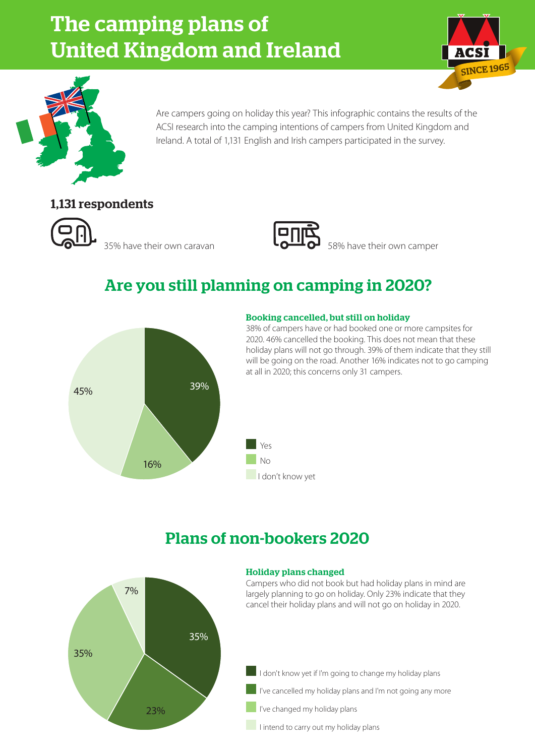# The camping plans of United Kingdom and Ireland





Are campers going on holiday this year? This infographic contains the results of the ACSI research into the camping intentions of campers from United Kingdom and Ireland. A total of 1,131 English and Irish campers participated in the survey.

### 1,131 respondents



 $\overline{35\%}$  have their own caravan  $\overline{15\%}$  58% have their own camper



# Are you still planning on camping in 2020?



#### Booking cancelled, but still on holiday

38% of campers have or had booked one or more campsites for 2020. 46% cancelled the booking. This does not mean that these holiday plans will not go through. 39% of them indicate that they still will be going on the road. Another 16% indicates not to go camping at all in 2020; this concerns only 31 campers.



### Plans of non-bookers 2020